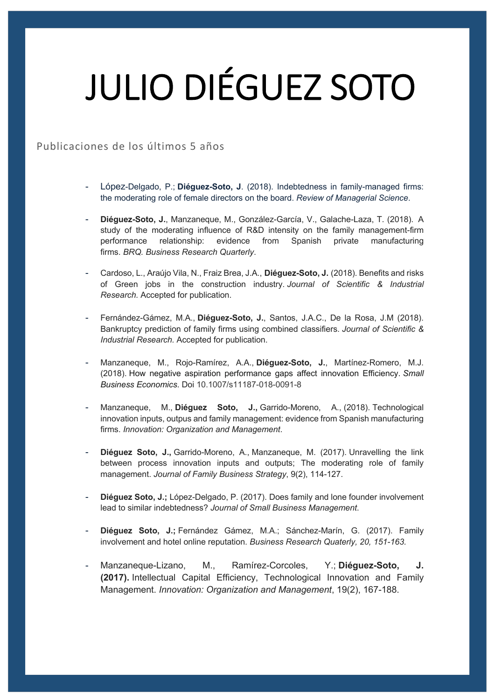## JULIO DIÉGUEZ SOTO

## Publicaciones de los últimos 5 años

- López-Delgado, P.; **Diéguez-Soto, J**. (2018). Indebtedness in family-managed firms: the moderating role of female directors on the board. *Review of Managerial Science*.
- **Diéguez-Soto, J.**, Manzaneque, M., González-García, V., Galache-Laza, T. (2018). A study of the moderating influence of R&D intensity on the family management-firm performance relationship: evidence from Spanish private manufacturing firms. *BRQ. Business Research Quarterly*.
- Cardoso, L., Araújo Vila, N., Fraiz Brea, J.A., **Diéguez-Soto, J.** (2018). Benefits and risks of Green jobs in the construction industry. *Journal of Scientific & Industrial Research.* Accepted for publication.
- Fernández-Gámez, M.A., **Diéguez-Soto, J.**, Santos, J.A.C., De la Rosa, J.M (2018). Bankruptcy prediction of family firms using combined classifiers. *Journal of Scientific & Industrial Research.* Accepted for publication.
- Manzaneque, M., Rojo-Ramírez, A.A., **Diéguez-Soto, J.**, Martínez-Romero, M.J. (2018). How negative aspiration performance gaps affect innovation Efficiency. *Small Business Economics*. Doi 10.1007/s11187-018-0091-8
- Manzaneque, M., **Diéguez Soto, J.,** Garrido-Moreno, A., (2018). Technological innovation inputs, outpus and family management: evidence from Spanish manufacturing firms. *Innovation: Organization and Management*.
- **Diéguez Soto, J.,** Garrido-Moreno, A., Manzaneque, M. (2017). Unravelling the link between process innovation inputs and outputs; The moderating role of family management. *Journal of Family Business Strategy*, 9(2), 114-127.
- Diéquez Soto, J.; López-Delgado, P. (2017). Does family and lone founder involvement lead to similar indebtedness? *Journal of Small Business Management*.
- **Diéguez Soto, J.;** Fernández Gámez, M.A.; Sánchez-Marín, G. (2017). Family involvement and hotel online reputation. *Business Research Quaterly, 20, 151-163.*
- Manzaneque-Lizano, M., Ramírez-Corcoles, Y.; **Diéguez-Soto, J. (2017).** Intellectual Capital Efficiency, Technological Innovation and Family Management. *Innovation: Organization and Management*, 19(2), 167-188.